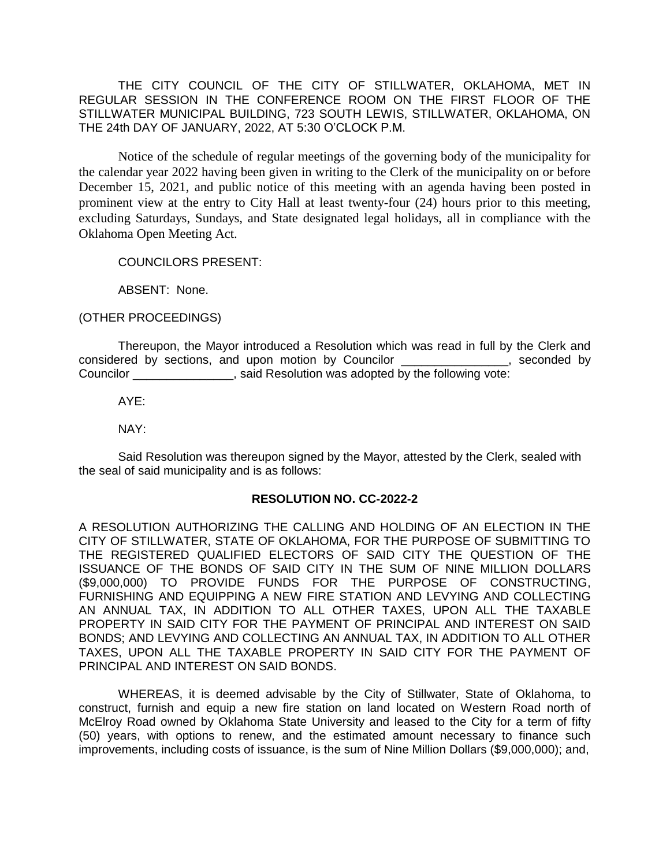THE CITY COUNCIL OF THE CITY OF STILLWATER, OKLAHOMA, MET IN REGULAR SESSION IN THE CONFERENCE ROOM ON THE FIRST FLOOR OF THE STILLWATER MUNICIPAL BUILDING, 723 SOUTH LEWIS, STILLWATER, OKLAHOMA, ON THE 24th DAY OF JANUARY, 2022, AT 5:30 O'CLOCK P.M.

Notice of the schedule of regular meetings of the governing body of the municipality for the calendar year 2022 having been given in writing to the Clerk of the municipality on or before December 15, 2021, and public notice of this meeting with an agenda having been posted in prominent view at the entry to City Hall at least twenty-four (24) hours prior to this meeting, excluding Saturdays, Sundays, and State designated legal holidays, all in compliance with the Oklahoma Open Meeting Act.

COUNCILORS PRESENT:

ABSENT: None.

(OTHER PROCEEDINGS)

Thereupon, the Mayor introduced a Resolution which was read in full by the Clerk and considered by sections, and upon motion by Councilor \_\_\_\_\_\_\_\_\_\_\_\_\_\_\_\_, seconded by Councilor \_\_\_\_\_\_\_\_\_\_\_\_\_\_\_, said Resolution was adopted by the following vote:

AYE:

NAY:

Said Resolution was thereupon signed by the Mayor, attested by the Clerk, sealed with the seal of said municipality and is as follows:

## **RESOLUTION NO. CC-2022-2**

A RESOLUTION AUTHORIZING THE CALLING AND HOLDING OF AN ELECTION IN THE CITY OF STILLWATER, STATE OF OKLAHOMA, FOR THE PURPOSE OF SUBMITTING TO THE REGISTERED QUALIFIED ELECTORS OF SAID CITY THE QUESTION OF THE ISSUANCE OF THE BONDS OF SAID CITY IN THE SUM OF NINE MILLION DOLLARS (\$9,000,000) TO PROVIDE FUNDS FOR THE PURPOSE OF CONSTRUCTING, FURNISHING AND EQUIPPING A NEW FIRE STATION AND LEVYING AND COLLECTING AN ANNUAL TAX, IN ADDITION TO ALL OTHER TAXES, UPON ALL THE TAXABLE PROPERTY IN SAID CITY FOR THE PAYMENT OF PRINCIPAL AND INTEREST ON SAID BONDS; AND LEVYING AND COLLECTING AN ANNUAL TAX, IN ADDITION TO ALL OTHER TAXES, UPON ALL THE TAXABLE PROPERTY IN SAID CITY FOR THE PAYMENT OF PRINCIPAL AND INTEREST ON SAID BONDS.

WHEREAS, it is deemed advisable by the City of Stillwater, State of Oklahoma, to construct, furnish and equip a new fire station on land located on Western Road north of McElroy Road owned by Oklahoma State University and leased to the City for a term of fifty (50) years, with options to renew, and the estimated amount necessary to finance such improvements, including costs of issuance, is the sum of Nine Million Dollars (\$9,000,000); and,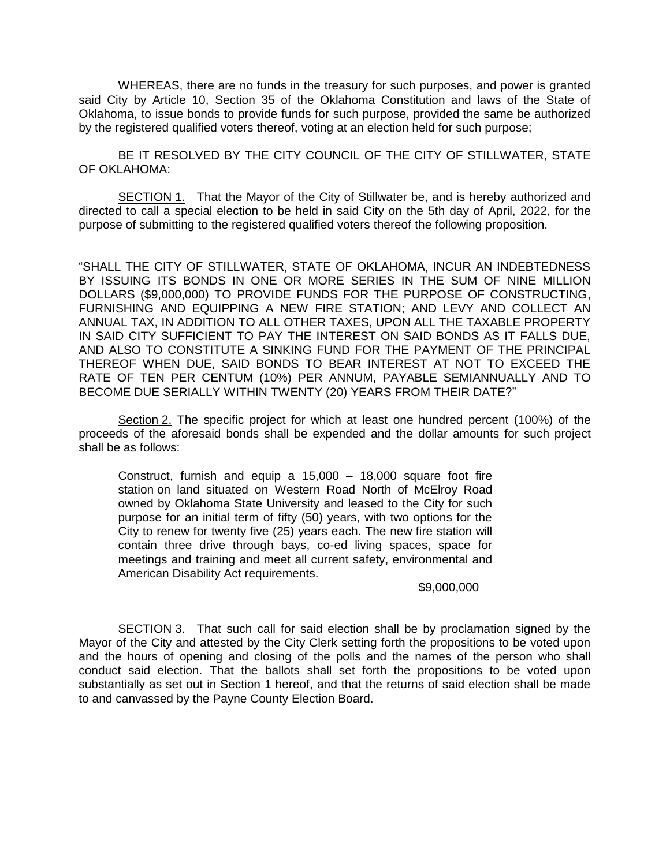WHEREAS, there are no funds in the treasury for such purposes, and power is granted said City by Article 10, Section 35 of the Oklahoma Constitution and laws of the State of Oklahoma, to issue bonds to provide funds for such purpose, provided the same be authorized by the registered qualified voters thereof, voting at an election held for such purpose;

BE IT RESOLVED BY THE CITY COUNCIL OF THE CITY OF STILLWATER, STATE OF OKLAHOMA:

SECTION 1. That the Mayor of the City of Stillwater be, and is hereby authorized and directed to call a special election to be held in said City on the 5th day of April, 2022, for the purpose of submitting to the registered qualified voters thereof the following proposition.

"SHALL THE CITY OF STILLWATER, STATE OF OKLAHOMA, INCUR AN INDEBTEDNESS BY ISSUING ITS BONDS IN ONE OR MORE SERIES IN THE SUM OF NINE MILLION DOLLARS (\$9,000,000) TO PROVIDE FUNDS FOR THE PURPOSE OF CONSTRUCTING, FURNISHING AND EQUIPPING A NEW FIRE STATION; AND LEVY AND COLLECT AN ANNUAL TAX, IN ADDITION TO ALL OTHER TAXES, UPON ALL THE TAXABLE PROPERTY IN SAID CITY SUFFICIENT TO PAY THE INTEREST ON SAID BONDS AS IT FALLS DUE, AND ALSO TO CONSTITUTE A SINKING FUND FOR THE PAYMENT OF THE PRINCIPAL THEREOF WHEN DUE, SAID BONDS TO BEAR INTEREST AT NOT TO EXCEED THE RATE OF TEN PER CENTUM (10%) PER ANNUM, PAYABLE SEMIANNUALLY AND TO BECOME DUE SERIALLY WITHIN TWENTY (20) YEARS FROM THEIR DATE?"

Section 2. The specific project for which at least one hundred percent (100%) of the proceeds of the aforesaid bonds shall be expended and the dollar amounts for such project shall be as follows:

Construct, furnish and equip a 15,000 – 18,000 square foot fire station on land situated on Western Road North of McElroy Road owned by Oklahoma State University and leased to the City for such purpose for an initial term of fifty (50) years, with two options for the City to renew for twenty five (25) years each. The new fire station will contain three drive through bays, co-ed living spaces, space for meetings and training and meet all current safety, environmental and American Disability Act requirements.

\$9,000,000

SECTION 3. That such call for said election shall be by proclamation signed by the Mayor of the City and attested by the City Clerk setting forth the propositions to be voted upon and the hours of opening and closing of the polls and the names of the person who shall conduct said election. That the ballots shall set forth the propositions to be voted upon substantially as set out in Section 1 hereof, and that the returns of said election shall be made to and canvassed by the Payne County Election Board.